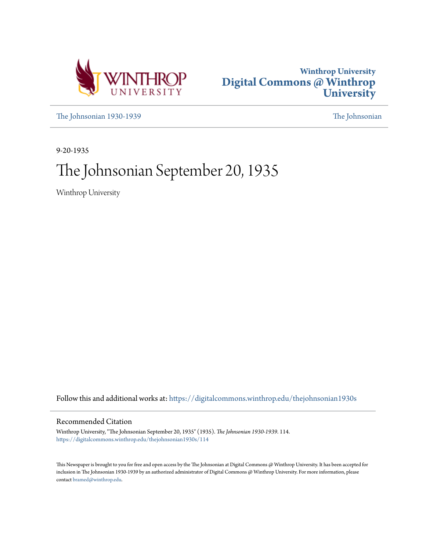



[The Johnsonian 1930-1939](https://digitalcommons.winthrop.edu/thejohnsonian1930s?utm_source=digitalcommons.winthrop.edu%2Fthejohnsonian1930s%2F114&utm_medium=PDF&utm_campaign=PDFCoverPages) [The Johnsonian](https://digitalcommons.winthrop.edu/thejohnsonian_newspaper?utm_source=digitalcommons.winthrop.edu%2Fthejohnsonian1930s%2F114&utm_medium=PDF&utm_campaign=PDFCoverPages)

9-20-1935

# The Johnsonian September 20, 1935

Winthrop University

Follow this and additional works at: [https://digitalcommons.winthrop.edu/thejohnsonian1930s](https://digitalcommons.winthrop.edu/thejohnsonian1930s?utm_source=digitalcommons.winthrop.edu%2Fthejohnsonian1930s%2F114&utm_medium=PDF&utm_campaign=PDFCoverPages)

### Recommended Citation

Winthrop University, "The Johnsonian September 20, 1935" (1935). *The Johnsonian 1930-1939*. 114. [https://digitalcommons.winthrop.edu/thejohnsonian1930s/114](https://digitalcommons.winthrop.edu/thejohnsonian1930s/114?utm_source=digitalcommons.winthrop.edu%2Fthejohnsonian1930s%2F114&utm_medium=PDF&utm_campaign=PDFCoverPages)

This Newspaper is brought to you for free and open access by the The Johnsonian at Digital Commons @ Winthrop University. It has been accepted for inclusion in The Johnsonian 1930-1939 by an authorized administrator of Digital Commons @ Winthrop University. For more information, please contact [bramed@winthrop.edu](mailto:bramed@winthrop.edu).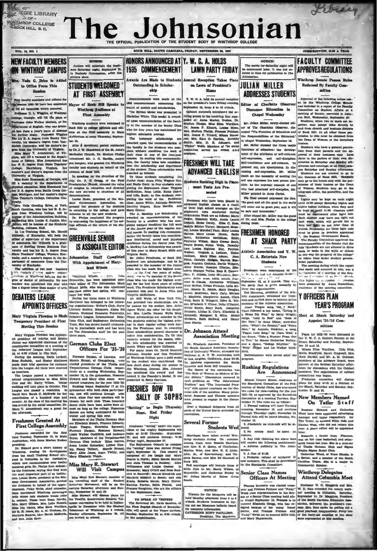### **EGIE LIBRARY** WINTHROP COLLEGE OCK HILL S. C.

# nsonian The Jol

### THE OFFICIAL PUBLICATION OF THE STUDENT BODY OF EOCK HILL, SOUTH CAROLINA, FRIDAY, SEPTEMBER 90 100 STREET IN THE A VEAR VOL. 11, NO. 1 HONORS ANNOUNCED AT Y. W. C. A. HOLDS **FACILITY COMMITTEE** NEW FACULTY MEMBERS  $\overline{\phantom{a}}$ NOTICE! NOTICE!<br>The movie for Gaturday night will<br>be announced later. It was not selected in time for publication in The<br>Johnsonian. Juniors will entertain the fresh-<br>men Saturday night, September 21,<br>in Peabody Oymnasium, after the<br>picture show. *WINTHROP CAMPUS* 1935 COMMENCEMENT **LAWN PARTY FRIDAY APPROVES REGIU ATIONS** Awards Are Made to Students ention Tekes Place throp Senate Por Veda G. Brice is Adde **IIIIIAN MUIFR STUDENTS WELCOMED** Endorsed By Faenity Com-Outstanding in Scholaron Tawn of President's to Office Force This  $\frac{1}{2}$ akin  $\overline{1}$  $\alpha$ **ADDRESSES STUDENTS** AT FIRST ASSEMBLY Approved of the following action take-<br>an by the Whalkrop College Banade<br>was location of a report of the Festivaly and Committee on Student Affairs at a<br>committee on Student, conversed in Johann and to-<br>an Hall, Wednesday Announcements were made at the<br>934 commencement concerning the<br>tword of medals and scholarships. **Y. W. G. A. held the an** Wew faculty : Y. W. G. A. hald its annual reception<br>on the prosident's lawn Friday evening,<br>September 13, from 8 to 10 o'clock.<br>Qabinet members introduced the aracuny members and disco<br>don 1935–36 have ben app<br>ill vacancies which occurr<br>seor B. L. Wiggins, of Wo **Editor of Charlotte Observer** Mayor of Rock Hill Sper the fill all vacs u. cusses Education Winthrop Audience at<br>First Assembly  $\mathbf{f}$ ware or means and schommaps.<br>The Sylvan Medal was presented to<br>Thristine White. This medal is award-Gabinet members introduced the arrival posterior increase of the receiving lines, compared to the matrice, posterior posterior posterior posterior posterior posterior between the later than the later and the later and the Prof 160, P Georgia, will fill the place of ed upon recommendation of the facul-Mr. Julian Milley newly-clocked edidents were u nt of English, who was grantthe member of the Benior Class Formulation of English, who was grant-<br>
red for English, who was grant-<br>
red for further study. Protessor of absence of a<br>
red for further study. Protessor Wiggins has his the detection Energy Dui-<br>
New May 17. As detect tor of The Char Rock Hill by college gardens and cities  $M = 2$ erver, disr, may accept rides dire<br>rom church and business<br>eek Hill, At all other tim who for four years has maintained the cussed "The Punction of Educators and of Bo ighest scholastic average.<br>The honorary scholar  $cos p$  $\frac{1}{1}$ bilities of the Educa mission Rock Hill, At all other time<br>sion to ride must be obtaine<br>Dean of Women or the do the Responsibili<br>in chanel Wedne in chapel Wednesday, September 18.<br>Mr. Miller stressed the three major  $ber 12$ after & d hosteza.<br>Gindants who have a get Mr. Miller streamed the three maps range from<br>the same in the present permutations of education: the develop-1 Stoke<br>load who have a general permutation of the statistic of self-critical<br>case. In the particular permutatio by Dr. J. W. Shackford of the St. John' Methodist Church, Dr. Shelton Phelp<br>introduced Mr. J. C. Hardin, mayo pro tempore, who greated the Winth faculty and students of Rock hill. In speaking for the churches of the an speaking for the churches of the<br>ten of presbyterian Church, stressed the value<br>tek has of religion in education and directed<br>the cold the new sturents to churches of all<br>degrees of Wennes, Students may go to the profit<br>formula and go to the dependent may go to the position of the position<br>form and the Lightin may be keept on each might until 10.050 except feature<br>dynamics may be keept on the ligh the new sturents to churches of all<br>denominations.<br>
Louise Hore, president of the Bit-<br>denominations denote the present of the denomination<br>
dent Government Association, ex-<br>
present the present present present<br>
within ret lage, Michigan, and nur masses a concern<br>Trom Teacher's College, Columbia Uni-Then Treather's College, Columbia Uni-Treather's College, Columbia Uni-Treather, of Tark, Then from the figure from Wallach and the basebees with the basebees of the Administration Building, Junkin Mini-Mini-Mini-Mini-Min **GREENVILLE SENIOR IS ASSOCIATE EDITOR** nian Staff Completed Joh With Appointment of Maryland Wilson y of Kentucky.<br>"addition of two new teachers"<br>"actor" c" """ makes states:<br>"" at Win"""ny holu.og the de-Margiand Will  ${\bf \textbf{OCE}}{\textbf{PUS}}{\textbf{PUS}}{\textbf{PUS}}{\textbf{PUS}}{\textbf{PUS}}{\textbf{PUS}}{\textbf{PUS}}{\textbf{PUS}}{\textbf{PUS}}{\textbf{PUS}}{\textbf{PUS}}{\textbf{PUS}}{\textbf{PUS}}{\textbf{PUS}}{\textbf{PUS}}{\textbf{PUS}}{\textbf{PUS}}{\textbf{PUS}}{\textbf{PUS}}{\textbf{PUS}}{\textbf{PUS}}{\textbf{PUS}}{\textbf{PUS}}{\textbf{PUS}}{\textbf{PUS}}{\textbf{PUS}}{\textbf{PUS}}{\textbf{PUS}}{\textbf{PUS}}{\textbf{PUS}}{\$ fre topics to the cluston  $\begin{bmatrix} w_{i+1} \\ w_{i+1} \\ w_{i+1} \end{bmatrix}$  and the state of the steering compact of the steering compact of the steering compact of the steering compact of the steering compact of the steering compact of the steering compact of t As the same of the same of the same of the same of the same of the same of the same of the same of the same of the same of the same of the same of the same of the same of the same of the same of the same of the same of th **Y OFFICERS PLAN DEBATERS LEAGUE YFAR'S PROGRAM** Meet of Shack Saturday and Appoint '35-'36 Com $m^{18}$ Figure 1 and 15.<br>
Figure 2 and 2 and 2 and 3 and 3 and 4 and 4 and 4 and 4 and 4 and 4 and 4 and 4 and 4 and 4 and 4 and 4 and 4 and 4 and 4 and 4 and 4 and 4 and 4 and 4 and 4 and 4 and 4 and 4 and 4 and 4 and 4 and 4 and **Rushman**<br>
Altant Crees Moore, chairman of Freshman<br>
interaction of the Beandards Committee of the Pedro Plans for their work at a some<br>
the Standards Committee of the Pedro Plans for their work at a some<br>
train of column sions.<br>- Over a thousand delegates fro<br>parts of the United States attend Several Former **Tiller**<br>Students Wed 3. No money shall be spent on  $\frac{1}{164\pi}$ , a parto can<br>of will be spent on  $\frac{1}{164\pi}$ , a conservation of the spent on the<br>set of the spent on the case from the spent of the fillence is the fillence of the fillence of



Marriages have taken several Win-<br>throp atternal caries the attention of the attention, Among them were Rosalis Harricon,<br>Among them were Rosalis Harricon, one Mrs. N. T. Query, of Charles<br>butter (Marria West, now Mrs. R.

NOTICE! NOTICE!<br>Typouts for the Masquers will be held Monday afternoon from 4 to 6<br>o'clock. Suidents interested in trying out see Masquers builetin board<br>for complete information.<br>CATERNING HUNTERAIN.

## Officers At Meeting

VIETNINGE THE INTERNATIONAL PRIME TO THE PRIME THE UPPER THE SURFACE OF THE CONDUCT AND WELL CONTINUES TO THE CONDUCT THE CONDUCT OF THE CONDUCT THE CONDUCT THE CONDUCT THE PRIME PRIME IN PRIME PRIME THE PRIME PRIME PRIME

Attend Columbia Meet

Winthrop Delegate

**Senior Class Names** 

MORTON'

**EXECUTORATION.**<br>INCE HUNT PAULLINO.<br>Executive: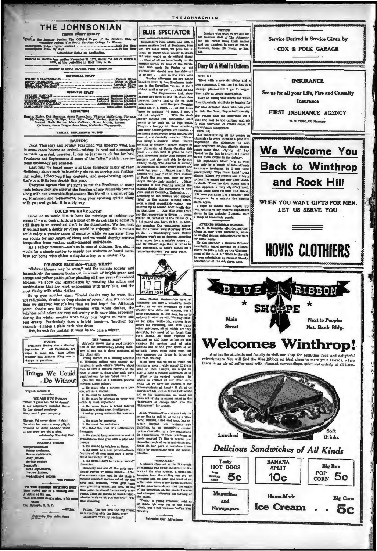| THE JOHNSONIAN<br><b>IMURI EVERY FRIDAY</b>                                                                                                                                                                 | <b>BLUE</b>                                               |
|-------------------------------------------------------------------------------------------------------------------------------------------------------------------------------------------------------------|-----------------------------------------------------------|
| Ducker the Regular Session The Official Organ of the Student Eady of<br>Winthrop College, The South Carolina College for Women<br>Advertising Rates on Application                                          | <b>Beptembe</b><br>comes anot<br>them, we w<br>but what w |
| Entered as second-class matter November 21, 1923, under the Act of March 3.<br>1879, at the postoffice in Rock Hill, S. G.                                                                                  | Pirst of<br>campus bef                                    |
| Member of South Carolina Press Association                                                                                                                                                                  | man who<br>whether she                                    |
| <b>EDITORIAL STAFF</b>                                                                                                                                                                                      | in or out. .<br>Denocked do<br>ing to the<br>o'clock mall |
| <b>BUSINESS STAFF</b>                                                                                                                                                                                       | $on \ldots T$                                             |
|                                                                                                                                                                                                             | having Rat<br>peration the<br>heads are in                |
| <b>REPORTERS</b>                                                                                                                                                                                            | home to m                                                 |
| Harriet Finley, Dot Manning, Annie Rosenblum, Virginia McKeithen, Fiorence<br>Richbourg, Mary Phillips, Anna Pitts, Isabel Keaton, Hattle Greene<br>Giannel Buth Bother, Mann Gallerin, Grant March Lauter, | did not con<br>supper toni<br>company that they           |

ish movissill

WE ARE BUT HUMAN<br>Then I grow loo old to dream<br>my netchbor's morning then<br>ier dismal prophecy<br>rep and I part company.

ugh Fd never deem it right<br>wish her such a sorry plight,<br>suid be quite anciher thing<br>the grew too old to sing.

**COLLEGE MEANS** 

TO THE RUBBER RA'GHING SURF<br>They buried her in a baiking suit<br>A victim of the sea,<br>Wio died from shame when a big wave

Tatronico Our Advertisers

came<br>(er Rpitaph, B. Z. P.

-The Pl

dry frest Suave sophon<br>Jolly juniors,

ek aç

On the coordinate and the control of the coordinate and the control of the control of the control of the control of the control of the coordinate and the coordinate and the coordinate and the coordinate and the coordinate

- 
- 
- 
- 
- 
- 

weeds.<br>
2. He should be "telpless at times.<br>
3. He must be a real person—three-<br>
courths of all men have only a super-<br>
(icial knowledge of life.<br>
4. He doesn't have to have a "moral"<br>
4. He doesn't have to have a "moral"<br>

Father: "So you and the have randing with the lights of Daughter: "Yes, lip reading



 $S<sub>2</sub>$ **Drinks** 

## **Delicious Sandwiches of All Kinds**



From State Counter and State Counter and State Counter and State Counter and State Counter and State Counter and State Counter and State Counter and State Counter and State Counter and State Counter and State Counter and S

### "EGRECTIBE"

Patronius Our Advi

Things We Could ...Do Without

- 
- 
- 

nor:<br>1. He must be generous.<br>2. He must be ambition<br>The third list, that of  $\circ$ 

aughter:<br>1. He should be gracious—the sort of<br>racioumess that goes with a pipe and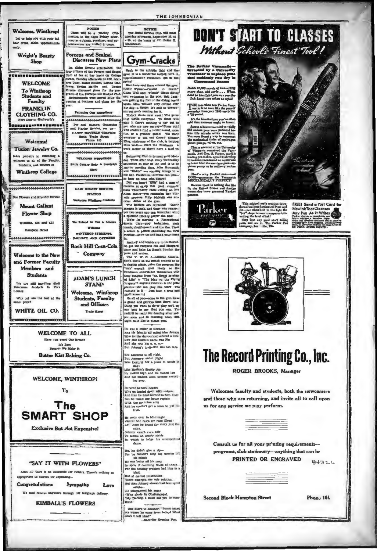|                                                                                                                                                            |                                                                                                                                                                                                                                                                                                                               | THE JOHNSONIAN                                                                                                                                                                                                                                                                                                                                                                       |                                                                                                                                                                                                                                                                                              |  |
|------------------------------------------------------------------------------------------------------------------------------------------------------------|-------------------------------------------------------------------------------------------------------------------------------------------------------------------------------------------------------------------------------------------------------------------------------------------------------------------------------|--------------------------------------------------------------------------------------------------------------------------------------------------------------------------------------------------------------------------------------------------------------------------------------------------------------------------------------------------------------------------------------|----------------------------------------------------------------------------------------------------------------------------------------------------------------------------------------------------------------------------------------------------------------------------------------------|--|
| Welcome, Winthrop!<br>Let us help you with your fall<br>hair dress. Make appointments<br>carly.                                                            | <b>NOTICE</b><br>There will be a Hockey Club<br>meeting in the Gym Friday after-<br>noon at 4 o'clock. Preshmen and up-<br>perclassmen are invited to come.                                                                                                                                                                   | <b>NOTICE!</b><br>The Social Service Club will meet<br>Monday afternoon, September 23, at<br>4:15, at the home of Dr. Helen Q.<br><b>Macdonald</b>                                                                                                                                                                                                                                   | <b>DON'T STAR</b><br>Without Schoo                                                                                                                                                                                                                                                           |  |
| Wright's Beauty<br><b>Shop</b>                                                                                                                             | <b>Forceps and Scalpel</b><br>Discusses New Plans<br>Dr. Eloise Greene entertained the                                                                                                                                                                                                                                        |                                                                                                                                                                                                                                                                                                                                                                                      | The Parker Vacumatic                                                                                                                                                                                                                                                                         |  |
| <b>WELCOME</b><br><b>To Winthrop</b><br>Students and                                                                                                       | four officers of the Forceps and Scapel<br>Club at tea at her home on College<br>Stract. Tuesday afternoon at 4:30. Mar-<br>aret Cone, Isabel Keaton, Lorena Clal-<br>loway, Evelyn Martin and Doctor<br>Greene discussed plans for the pro-<br>grams of the Forceps and Scalpel Club.<br>Refreshments were served after dis- | Back to the athletic field and the<br>gym! It is a wonderful feeling, isn't it.<br>upperclassmen? Freshmen, get in the<br>swing!<br>Seen here and there around the gym:<br>Bertle Wyman-"scared to death."<br>Clara Wall and 'Flossie" Claus diving<br>and swimming in the pool. Nell Jack-                                                                                          | <b>Invented by a University</b><br><b>Professor</b> to replace you<br>that suddenly run dry in<br><b>Classes and Rxams</b><br>Holds 12,000 words of ink-102%<br>more than old style When<br>held to the light you can see the<br>Ink Level-see when to refill!                               |  |
| Faculty<br><b>FRANKLIN</b><br>CLOTHING CO.<br>Nert Door to Woolworth's<br>2003920NKHMHMXHMHM                                                               | cursion of business and plans for the<br>vear.<br>Patronise Our Advertisers<br>**********************<br>Por real Battery, Generator                                                                                                                                                                                          | son getting the feel of the diving board '<br>again. Miss Well.ier very excited over !<br>her dog-a Scotty. It's still in Wiscon-<br>sin but she's sending for it.<br>Hockey starts next week! The game<br>that thrills everyone! To those who<br>play it there's nothing to say but to<br>you who are new we say-"Come out!                                                         | THE marvelous new Parker Vacu-<br>notie is no more like the pens of<br>yesterday than your 1935 car is like<br>a '25 model,<br>It's the identical pen you've often<br>said that someone ought to invent.<br>Scores of luventors tried to-fally                                               |  |
| 1000000000000000000000<br>Welcome!<br><b>Tucker Jewelry Co.</b><br>takes pleasure in extending a                                                           | and Starter Service, see us-<br>GANTY BATTERY SERVICE<br>North Trade Street<br>Phone 910<br>*********************<br>6666666666666666                                                                                                                                                                                         | You couldn't find a better nowd, more<br>fun, or a grander game! We want<br>everyone of you out there!" Eleanor<br>King, chairman of the club, is helping<br>Miss Wellner start the Freshinen<br>week earlier so they'll have a lead on<br>Swimming Club is to meet next Mon-                                                                                                        | 250 saclam pens were patented be-<br>fore this miracle writer was born.<br>But nose found a way to sure<br>the mechanical faults of aquirt-gun<br>piston pumps, valves, etc.<br>Then a scientist at the University<br>of Wieconsin conceived the Vacu-<br>matic. And Geo. S. Parker, world's |  |
| welcome to all of the Faculty,<br>Students, and officers of<br><b>Winthrop College</b>                                                                     | <b>VELCOME WINTHROP</b><br>Little Canary Soda & Sandwich<br><b>Black</b><br>**********************                                                                                                                                                                                                                            | day. Then after that every Wednesday<br>afternoon at four in the pool is to be<br>regular meeting time. Miss Hammack<br>and "Diddy" are starting things in a<br>big way. Preshmen, everyone can join-<br>so keep up that trim figure!<br>Did you hear? "Ellie" had a case of                                                                                                         | leading pen maker, agreed to develop<br>It because it contained no rubber sao<br>or lever filler like aac-type pens-no<br>piston pump as in ordinary sacless<br>pens.<br>That's why Parker can—and<br>DOES—guarantee the Vecumatic<br>MECHANICALLY PERFECTI                                  |  |
| For Plowers and Friendly Service<br><b>Mount Gallant</b>                                                                                                   | MAIN STREET SERVICE<br><b>STATION</b><br>Welcomes Winthrop Students                                                                                                                                                                                                                                                           | measles at camp this past summer.<br>Sara Touchberry came calling on her<br>Alma Mater-you remember her ath-<br>letic prowess. Polly McNelli was an-<br>other visitor at the gym.<br>The Seniors are rejulcing! Carrie<br>Morgan is back, and those who remem-<br>ber two years ago can remember what                                                                                | Because there is nothing she like<br>it, the United States and foreign<br>countries have granted Parker<br>patents.<br>This origina<br>uces Iumis                                                                                                                                            |  |
| <b>Flower Shop</b><br>Welcome, one and all!<br><b>Hampton Street</b>                                                                                       | We Extend to You a Sincore<br>Weder<br>WINTHROP STUDENTS,<br>FACULTY AND OFFICERS                                                                                                                                                                                                                                             | a splendid Hockey player she was!<br>We're for starting a Recreational<br>Sports Club-play badminton, deck<br>tennis, shuffleboard and the like. Then<br>a notice is posted cancelling the first<br>meeting-show up and hand your name<br>in.                                                                                                                                        | Jet-yet when<br>"Jet" rings be<br>vealing the lev<br>Step into a<br>ms, and see<br>pany, Jan                                                                                                                                                                                                 |  |
| Welcome to the New<br>and Former Faculty<br>Members and                                                                                                    | <b>Rock Hill Coca-Cola</b><br><b>Company</b><br>NGNGKGNGNGKGKGKGNGKGNGKGNGKGNGKGKGKGNG                                                                                                                                                                                                                                        | Archery and tennis are to be started.<br>So get the racquets out and Margaret<br>Cone and Babe La Boon'll furnish the<br>bows and arrows.<br>The Y. W. C. A -Athletic Associa-<br>tion's party at the Shack seemed to be<br>a singing affair. After the program the<br>"eats" weren't quite ready so the<br>Freshmen entertained themselves with                                     |                                                                                                                                                                                                                                                                                              |  |
| <b>Students</b><br>We are still handling Shell<br>Petroleum Products in<br>York<br>Louncy.<br>Why not use the best at the<br>sante price?<br>WHITE OIL CO. | <b>ADAM'S LUNCH</b><br><b>STAND</b><br>Welcome, Winthrop<br><b>Students, Faculty</b><br>and Officers                                                                                                                                                                                                                          | song ranging from "Ah Sweet Mystery<br>of Life" to "The Man on the Plying<br>Trapeac"! Augusta Cochran is the prize<br>planist-she can play like there was<br>nothing to it - Just hum a song and<br>141 wons il'sn's<br>So all of you-come to the gym, have<br>a grand and glorious time there! Any-<br>thing you want to do or play we'll try<br>our best to see that you can. The |                                                                                                                                                                                                                                                                                              |  |
|                                                                                                                                                            | <b>Trade Street</b><br><b>WELCOME TO ALL</b><br>Have You Tried Our Bread?                                                                                                                                                                                                                                                     | radio'll be ready for dancing after sup-<br>per soon and so morning, noon, and<br>night we'd like to please you!<br>He was a senior at Sewanee<br>And his friends all called him Johnny<br>to for the dances had secured a date<br>Now this flossic's name was Flo<br>And ahe was his o. a. o.-                                                                                      |                                                                                                                                                                                                                                                                                              |  |
| <b>It's Best</b><br>Because We Make It<br><b>Butter Kist Baking Co.</b>                                                                                    |                                                                                                                                                                                                                                                                                                                               | But Johnny's invitation was too late.<br>She accepted it, all right,<br>But Johnny's awful plight<br>Was locating her a place in which to<br>stay:<br>Like Harlem's Smoky Joc.                                                                                                                                                                                                       | <b>The Record I</b><br><b>ROGER B</b>                                                                                                                                                                                                                                                        |  |
|                                                                                                                                                            | <b>WELCOME, WINTHROP!</b><br>To                                                                                                                                                                                                                                                                                               | He looked high and he looked low<br>And his outlook soon became exceed-<br>ing gray,<br>He went to Mrs. Eogers<br>Who wa loaded down with fodgers,<br>And then he hied nunself to Mrs. Hale;                                                                                                                                                                                         | Welcomes faculty and                                                                                                                                                                                                                                                                         |  |
| <b>The</b><br><b>SMART SHOP</b>                                                                                                                            |                                                                                                                                                                                                                                                                                                                               | But he found her house replete<br>With the feminine elite<br>And he couldn't get a room to put his<br>frail.<br>He weat over to Monteagle<br>(Where the rates are nigh illegal)                                                                                                                                                                                                      | and those who are returi<br>us for any service we ma                                                                                                                                                                                                                                         |  |
|                                                                                                                                                            | <b>Exclusive But Not Expensive!</b>                                                                                                                                                                                                                                                                                           | Ar shere he found the story just the<br>same.<br>Johnny wasn't even able<br>To secure an empty stable<br>In which to lodge his unsuspecting<br>dame.                                                                                                                                                                                                                                 | Consult us for all yo                                                                                                                                                                                                                                                                        |  |
|                                                                                                                                                            | "SAY IT WITH FLOWERS"<br>After all there is no substitute for flowers. There's nothing so                                                                                                                                                                                                                                     | But he didn't give a rip-<br>For he couldn't keep his worries off<br>his mind:<br>He was losing all his sleep<br>In spite of counting flocks of sheep-<br>For the housing problem had him in a<br>bind.<br>Out of mental persecution                                                                                                                                                 | programs, club statio<br><b>PRINTED</b>                                                                                                                                                                                                                                                      |  |
| appropriate us flowers for expressing-<br><b>Congratulations</b>                                                                                           | Sympathy<br>Love<br>We send flowers anywhere through our telegraph delivery.<br><b>KIMBALL'S FLOWERS</b>                                                                                                                                                                                                                      | There emerged the sole solution,<br>But then Johnsy always had been quite<br>astute-<br>He telegraphed his sugar<br>(Who abode in Chattanooga).<br>"My Darling, I must ask you to com-<br>mute."                                                                                                                                                                                     | <b>Second Block Hampton</b>                                                                                                                                                                                                                                                                  |  |
|                                                                                                                                                            |                                                                                                                                                                                                                                                                                                                               | One Stork to Another: "Junior asked<br>rie where he came from today! What<br>sha'l I tell him?"<br>-Saturday Evening Post.                                                                                                                                                                                                                                                           |                                                                                                                                                                                                                                                                                              |  |

TO CLASSES<br>lé Finest Tool!

FREE! Send a Post Card for<br>Any Pen As It Writes<br>Any Pen As It Writes<br>The Signal a language in the Card of the Card of the Signal<br>Angle Card Card of the Card of the Card of the Card of the Card of the Card of the Card of th



# Printing Co., Inc.

ROOKS, Manager

d students, both the newcomers ning, and invite all to call upon s perform.

our pr'nting requirements-onery--anything that can be OR ENGRAVED

44326

Street

Phono 164